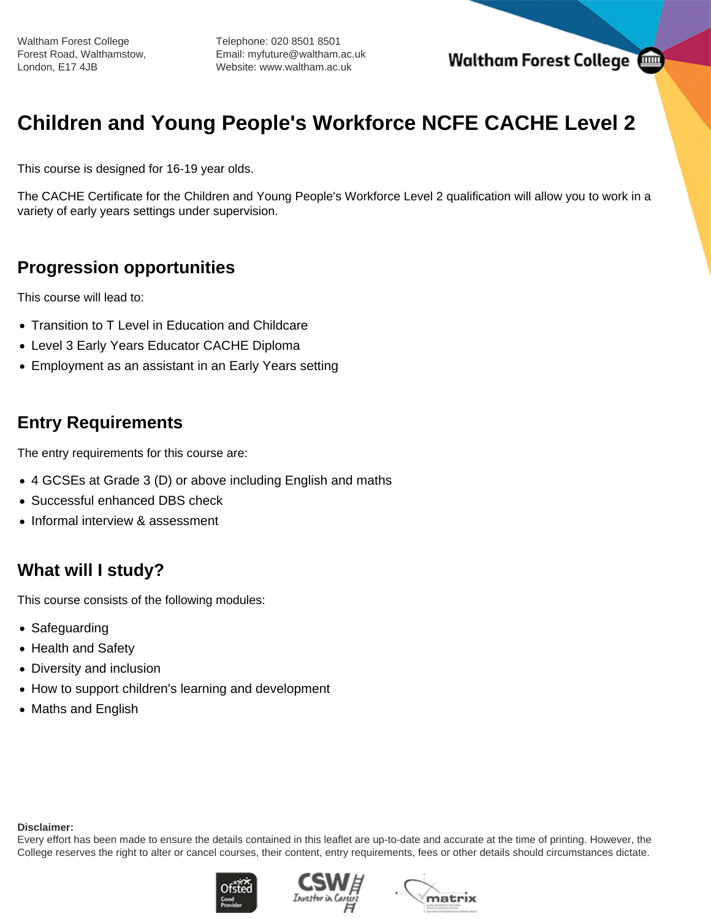Waltham Forest College Forest Road, Walthamstow, London, E17 4JB

Telephone: 020 8501 8501 Email: myfuture@waltham.ac.uk Website: www.waltham.ac.uk

# **Children and Young People's Workforce NCFE CACHE Level 2**

This course is designed for 16-19 year olds.

The CACHE Certificate for the Children and Young People's Workforce Level 2 qualification will allow you to work in a variety of early years settings under supervision.

# **Progression opportunities**

This course will lead to:

- Transition to T Level in Education and Childcare
- Level 3 Early Years Educator CACHE Diploma
- Employment as an assistant in an Early Years setting

# **Entry Requirements**

The entry requirements for this course are:

- 4 GCSEs at Grade 3 (D) or above including English and maths
- Successful enhanced DBS check
- Informal interview & assessment

# **What will I study?**

This course consists of the following modules:

- Safeguarding
- Health and Safety
- Diversity and inclusion
- How to support children's learning and development
- Maths and English

#### **Disclaimer:**

Every effort has been made to ensure the details contained in this leaflet are up-to-date and accurate at the time of printing. However, the College reserves the right to alter or cancel courses, their content, entry requirements, fees or other details should circumstances dictate.